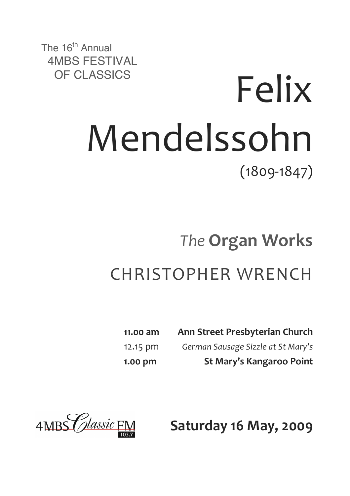The 16<sup>th</sup> Annual 4MBS FESTIVAL

# OF CLASSICS Felix Mendelssohn  $(1809 - 1847)$

## *The* **Organ!Works** CHRISTOPHER!WRENCH

| 11.00 am | Ann Street Presbyterian Church     |
|----------|------------------------------------|
| 12.15 pm | German Sausage Sizzle at St Mary's |
| 1.00 pm  | St Mary's Kangaroo Point           |



**Saturday 16 May, 2009**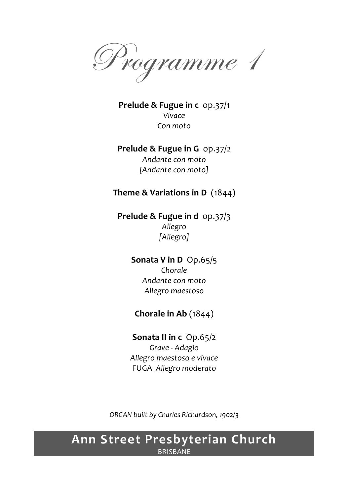Programme 1

**Prelude & Fugue in c** op.37/1 *Vivace Con)moto*

#### **Prelude & Fugue in G** op.37/2 Andante con moto [Andante con moto]

#### **Theme & Variations in D** (1844)

**Prelude & Fugue in d** op.37/3 *Allegro [Allegro]*

> **Sonata V in D** Op.65/5 *Chorale* Andante con moto *Allegro)maestoso*

#### **Chorale in Ab** (1844)

**Sonata II in c** Op.65/2 *Grave)>)Adagio Allegro)maestoso)e)vivace* FUGA!!*Allegro)moderato*

*ORGAN)built)by)Charles)Richardson,)1902/3*

#### **Ann!Street!Presbyterian!Church** BRISBANE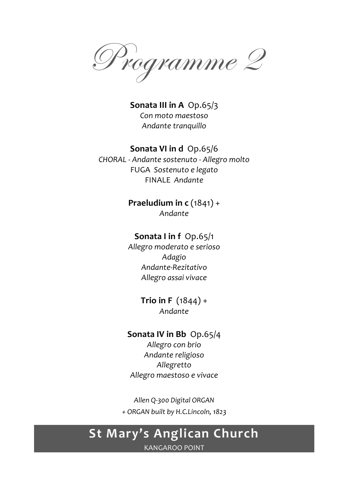Programme 2

**Sonata III in A** Op.65/3 *Con)moto)maestoso* Andante tranquillo

#### **Sonata VI in d** Op.65/6

*CHORAL)>)Andante)sostenuto)>)Allegro)molto* FUGA!!*Sostenuto)e)legato* FINALE!!*Andante*

> **Praeludium in c** (1841) + *Andante*

#### **Sonata I in f** Op.65/1

*Allegro)moderato)e)serioso Adagio Andante>Rezitativo Allegro)assai)vivace*

> **Trio in F**  $(1844) +$ *Andante*

#### **Sonata IV in Bb** Op.65/4

*Allegro)con)brio* Andante religioso *Allegretto Allegro)maestoso)e)vivace*

*Allen)Q>300)Digital)ORGAN +)ORGAN)built)by)H.C.Lincoln,)1823*

## **St Mary's Anglican Church**

KANGAROO POINT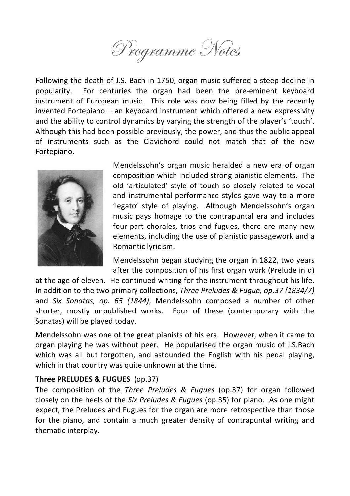

Following the death of J.S. Bach in 1750, organ music suffered a steep decline in popularity. For centuries the organ had been the pre-eminent keyboard instrument of European music. This role was now being filled by the recently invented Fortepiano – an keyboard instrument which offered a new expressivity and the ability to control dynamics by varying the strength of the player's 'touch'. Although this had been possible previously, the power, and thus the public appeal of instruments such as the Clavichord could not match that of the new Fortepiano.



Mendelssohn's organ music heralded a new era of organ composition which included strong pianistic elements. The old 'articulated' style of touch so closely related to vocal and instrumental performance styles gave way to a more 'legato' style of playing. Although Mendelssohn's organ music pays homage to the contrapuntal era and includes four-part chorales, trios and fugues, there are many new elements, including the use of pianistic passagework and a Romantic lyricism.

Mendelssohn began studying the organ in 1822, two years after the composition of his first organ work (Prelude in d)

at the age of eleven. He continued writing for the instrument throughout his life. In addition to the two primary collections, *Three Preludes & Fugue, op.37 (1834/7)* and Six Sonatas, op. 65 (1844), Mendelssohn composed a number of other shorter, mostly unpublished works. Four of these (contemporary with the Sonatas) will be played today.

Mendelssohn was one of the great pianists of his era. However, when it came to organ playing he was without peer. He popularised the organ music of J.S.Bach which was all but forgotten, and astounded the English with his pedal playing, which in that country was quite unknown at the time.

#### **Three PRELUDES & FUGUES** (op.37)

The composition of the *Three Preludes & Fugues* (op.37) for organ followed closely on the heels of the *Six Preludes & Fugues* (op.35) for piano. As one might expect, the Preludes and Fugues for the organ are more retrospective than those for the piano, and contain a much greater density of contrapuntal writing and thematic interplay.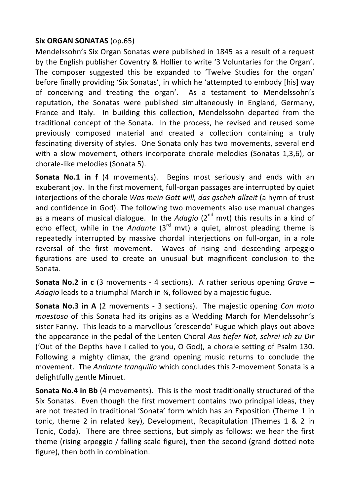#### **Six ORGAN SONATAS (op.65)**

Mendelssohn's Six Organ Sonatas were published in 1845 as a result of a request by the English publisher Coventry & Hollier to write '3 Voluntaries for the Organ'. The composer suggested this be expanded to 'Twelve Studies for the organ' before finally providing 'Six Sonatas', in which he 'attempted to embody [his] way of conceiving and treating the organ'. As a testament to Mendelssohn's reputation, the Sonatas were published simultaneously in England, Germany, France and Italy. In building this collection, Mendelssohn departed from the traditional concept of the Sonata. In the process, he revised and reused some previously composed material and created a collection containing a truly fascinating diversity of styles. One Sonata only has two movements, several end with a slow movement, others incorporate chorale melodies (Sonatas 1,3,6), or chorale-like melodies (Sonata 5).

**Sonata No.1 in f** (4 movements). Begins most seriously and ends with an exuberant joy. In the first movement, full-organ passages are interrupted by quiet interiections of the chorale *Was mein Gott will, das ascheh allzeit* (a hymn of trust and confidence in God). The following two movements also use manual changes as a means of musical dialogue. In the *Adagio* (2<sup>nd</sup> mvt) this results in a kind of echo effect, while in the *Andante* (3<sup>rd</sup> mvt) a quiet, almost pleading theme is repeatedly interrupted by massive chordal interjections on full-organ, in a role reversal of the first movement. Waves of rising and descending arpeggio figurations are used to create an unusual but magnificent conclusion to the Sonata.

**Sonata No.2 in c** (3 movements - 4 sections). A rather serious opening *Grave –* Adagio leads to a triumphal March in ¾, followed by a majestic fugue.

**Sonata No.3 in A** (2 movements - 3 sections). The majestic opening *Con moto maestoso* of this Sonata had its origins as a Wedding March for Mendelssohn's sister Fanny. This leads to a marvellous 'crescendo' Fugue which plays out above the appearance in the pedal of the Lenten Choral *Aus tiefer Not, schrei ich zu Dir* ('Out of the Depths have I called to you, O God), a chorale setting of Psalm 130. Following a mighty climax, the grand opening music returns to conclude the movement. The *Andante tranquillo* which concludes this 2-movement Sonata is a delightfully gentle Minuet.

**Sonata No.4 in Bb** (4 movements). This is the most traditionally structured of the Six Sonatas. Even though the first movement contains two principal ideas, they are not treated in traditional 'Sonata' form which has an Exposition (Theme 1 in tonic, theme 2 in related key), Development, Recapitulation (Themes  $1 \& 2$  in Tonic, Coda). There are three sections, but simply as follows: we hear the first theme (rising arpeggio / falling scale figure), then the second (grand dotted note figure), then both in combination.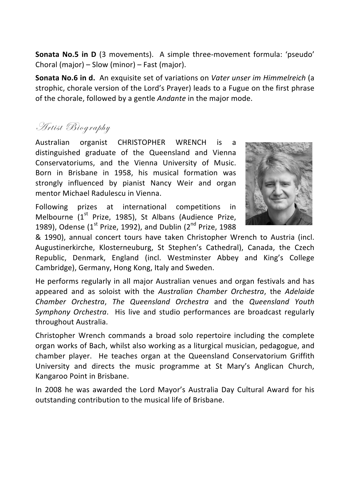**Sonata No.5 in D** (3 movements). A simple three-movement formula: 'pseudo' Choral (major) – Slow (minor) – Fast (major).

**Sonata No.6 in d.** An exquisite set of variations on *Vater unser im Himmelreich* (a strophic, chorale version of the Lord's Prayer) leads to a Fugue on the first phrase of the chorale, followed by a gentle *Andante* in the major mode.

#### Artist Biography

Australian organist CHRISTOPHER WRENCH is a distinguished graduate of the Queensland and Vienna Conservatoriums, and the Vienna University of Music. Born in Brisbane in 1958, his musical formation was strongly influenced by pianist Nancy Weir and organ mentor Michael Radulescu in Vienna.

Following prizes at international competitions in Melbourne ( $1<sup>st</sup>$  Prize, 1985), St Albans (Audience Prize, 1989), Odense (1st Prize, 1992), and Dublin ( $2^{nd}$  Prize, 1988



& 1990), annual concert tours have taken Christopher Wrench to Austria (incl. Augustinerkirche, Klosterneuburg, St Stephen's Cathedral), Canada, the Czech Republic, Denmark, England (incl. Westminster Abbey and King's College Cambridge), Germany, Hong Kong, Italy and Sweden.

He performs regularly in all major Australian venues and organ festivals and has appeared and as soloist with the *Australian Chamber Orchestra*, the *Adelaide Chamber% Orchestra*,! *The% Queensland% Orchestra*! and! the! *Queensland% Youth%* Symphony Orchestra. His live and studio performances are broadcast regularly throughout Australia.

Christopher Wrench commands a broad solo repertoire including the complete organ works of Bach, whilst also working as a liturgical musician, pedagogue, and chamber player. He teaches organ at the Queensland Conservatorium Griffith University and directs the music programme at St Mary's Anglican Church, Kangaroo Point in Brisbane.

In 2008 he was awarded the Lord Mayor's Australia Day Cultural Award for his outstanding contribution to the musical life of Brisbane.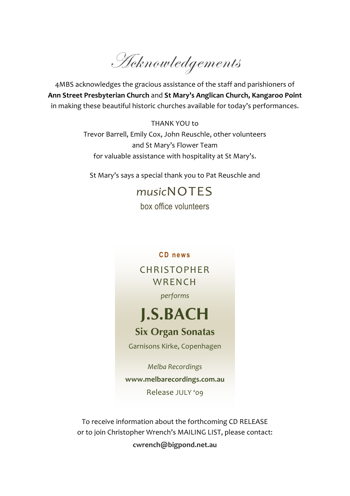Acknowledgements

4MBS acknowledges the gracious assistance of the staff and parishioners of **Ann!Street!Presbyterian Church**!and!**St!Mary's!Anglican!Church,!Kangaroo!Point** in making these beautiful historic churches available for today's performances.

> THANK YOU to Trevor Barrell, Emily Cox, John Reuschle, other volunteers and St Mary's Flower Team for valuable assistance with hospitality at St Mary's.

St Mary's says a special thank you to Pat Reuschle and

### *music*NOTES

box office volunteers

**CD news**

CHRISTOPHER **WRENCH** *performs*

## **J.S.BACH**

#### **Six Organ Sonatas**

Garnisons Kirke, Copenhagen

*Melba)Recordings* **www.melbarecordings.com.au** Release JULY '09

To receive information about the forthcoming CD RELEASE or to join Christopher Wrench's MAILING LIST, please contact: **cwrench@bigpond.net.au**